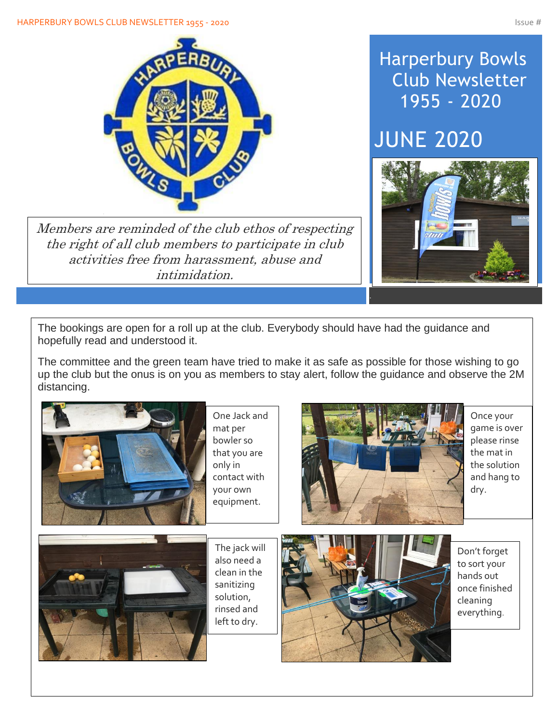

Members are reminded of the club ethos of respecting the right of all club members to participate in club activities free from harassment, abuse and intimidation.

## Harperbury Bowls Club Newsletter 1955 - 2020

# JUNE 2020



The bookings are open for a roll up at the club. Everybody should have had the guidance and hopefully read and understood it.

The committee and the green team have tried to make it as safe as possible for those wishing to go up the club but the onus is on you as members to stay alert, follow the guidance and observe the 2M distancing.



Once your game is over please rinse the mat in the solution and hang to dry.

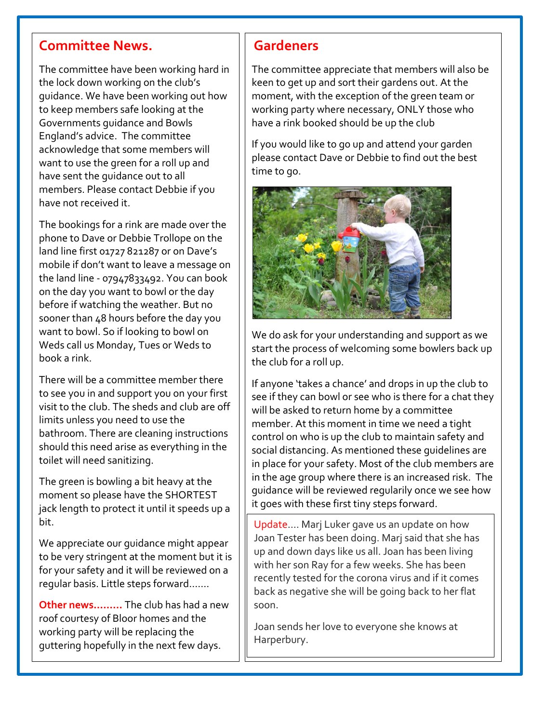#### **Committee News.**

The committee have been working hard in the lock down working on the club's guidance. We have been working out how to keep members safe looking at the Governments guidance and Bowls England's advice. The committee acknowledge that some members will want to use the green for a roll up and have sent the guidance out to all members. Please contact Debbie if you have not received it.

The bookings for a rink are made over the phone to Dave or Debbie Trollope on the land line first 01727 821287 or on Dave's mobile if don't want to leave a message on the land line - 07947833492. You can book on the day you want to bowl or the day before if watching the weather. But no sooner than 48 hours before the day you want to bowl. So if looking to bowl on Weds call us Monday, Tues or Weds to book a rink.

There will be a committee member there to see you in and support you on your first visit to the club. The sheds and club are off limits unless you need to use the bathroom. There are cleaning instructions should this need arise as everything in the toilet will need sanitizing.

The green is bowling a bit heavy at the moment so please have the SHORTEST jack length to protect it until it speeds up a bit.

We appreciate our guidance might appear to be very stringent at the moment but it is for your safety and it will be reviewed on a regular basis. Little steps forward…….

**Other news………** The club has had a new roof courtesy of Bloor homes and the working party will be replacing the guttering hopefully in the next few days.

#### **Gardeners**

The committee appreciate that members will also be keen to get up and sort their gardens out. At the moment, with the exception of the green team or working party where necessary, ONLY those who have a rink booked should be up the club

If you would like to go up and attend your garden please contact Dave or Debbie to find out the best time to go.



We do ask for your understanding and support as we start the process of welcoming some bowlers back up the club for a roll up.

If anyone 'takes a chance' and drops in up the club to see if they can bowl or see who is there for a chat they will be asked to return home by a committee member. At this moment in time we need a tight control on who is up the club to maintain safety and social distancing. As mentioned these guidelines are in place for your safety. Most of the club members are in the age group where there is an increased risk. The guidance will be reviewed regularily once we see how it goes with these first tiny steps forward.

Update…. Marj Luker gave us an update on how Joan Tester has been doing. Marj said that she has up and down days like us all. Joan has been living with her son Ray for a few weeks. She has been recently tested for the corona virus and if it comes back as negative she will be going back to her flat soon.

Joan sends her love to everyone she knows at Harperbury.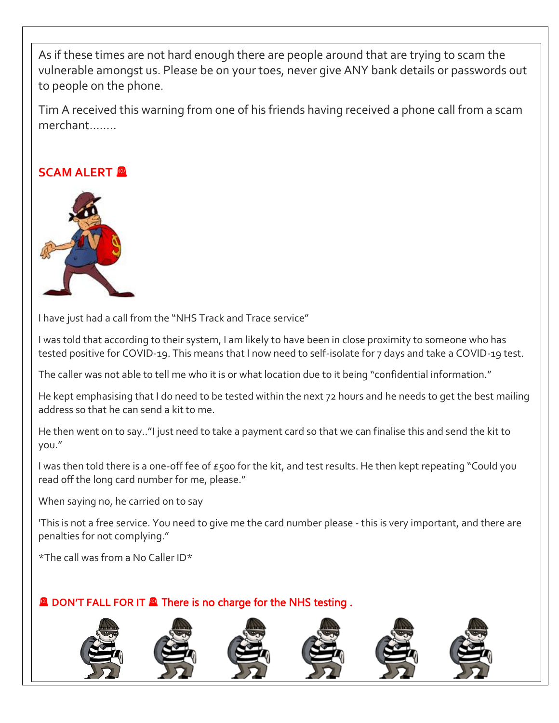As if these times are not hard enough there are people around that are trying to scam the vulnerable amongst us. Please be on your toes, never give ANY bank details or passwords out to people on the phone.

Tim A received this warning from one of his friends having received a phone call from a scam merchant……..

#### **SCAM ALERT**



I have just had a call from the "NHS Track and Trace service"

I was told that according to their system, I am likely to have been in close proximity to someone who has tested positive for COVID-19. This means that I now need to self-isolate for 7 days and take a COVID-19 test.

The caller was not able to tell me who it is or what location due to it being "confidential information."

He kept emphasising that I do need to be tested within the next 72 hours and he needs to get the best mailing address so that he can send a kit to me.

He then went on to say.."I just need to take a payment card so that we can finalise this and send the kit to you."

I was then told there is a one-off fee of £500 for the kit, and test results. He then kept repeating "Could you read off the long card number for me, please."

When saying no, he carried on to say

'This is not a free service. You need to give me the card number please - this is very important, and there are penalties for not complying."

\*The call was from a No Caller ID\*

ֺ֖֚֝֬

#### **Q DON'T FALL FOR IT Q There is no charge for the NHS testing.**